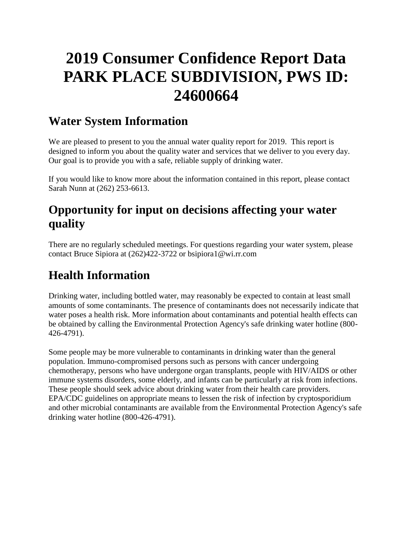# **2019 Consumer Confidence Report Data PARK PLACE SUBDIVISION, PWS ID: 24600664**

# **Water System Information**

We are pleased to present to you the annual water quality report for 2019. This report is designed to inform you about the quality water and services that we deliver to you every day. Our goal is to provide you with a safe, reliable supply of drinking water.

If you would like to know more about the information contained in this report, please contact Sarah Nunn at (262) 253-6613.

# **Opportunity for input on decisions affecting your water quality**

There are no regularly scheduled meetings. For questions regarding your water system, please contact Bruce Sipiora at (262)422-3722 or bsipiora1@wi.rr.com

# **Health Information**

Drinking water, including bottled water, may reasonably be expected to contain at least small amounts of some contaminants. The presence of contaminants does not necessarily indicate that water poses a health risk. More information about contaminants and potential health effects can be obtained by calling the Environmental Protection Agency's safe drinking water hotline (800- 426-4791).

Some people may be more vulnerable to contaminants in drinking water than the general population. Immuno-compromised persons such as persons with cancer undergoing chemotherapy, persons who have undergone organ transplants, people with HIV/AIDS or other immune systems disorders, some elderly, and infants can be particularly at risk from infections. These people should seek advice about drinking water from their health care providers. EPA/CDC guidelines on appropriate means to lessen the risk of infection by cryptosporidium and other microbial contaminants are available from the Environmental Protection Agency's safe drinking water hotline (800-426-4791).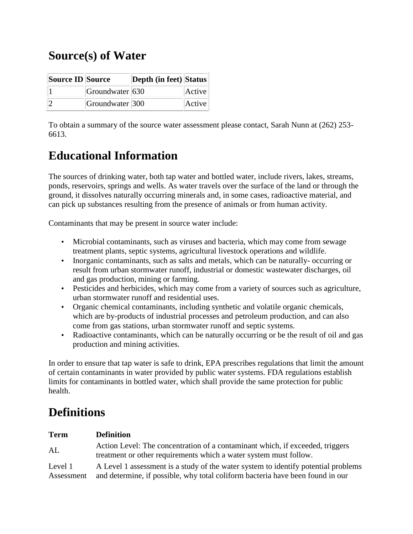# **Source(s) of Water**

| Source ID Source |                         | Depth (in feet) Status |        |
|------------------|-------------------------|------------------------|--------|
|                  | $ G$ roundwater $ 630 $ |                        | Active |
|                  | Groundwater 300         |                        | Active |

To obtain a summary of the source water assessment please contact, Sarah Nunn at (262) 253- 6613.

# **Educational Information**

The sources of drinking water, both tap water and bottled water, include rivers, lakes, streams, ponds, reservoirs, springs and wells. As water travels over the surface of the land or through the ground, it dissolves naturally occurring minerals and, in some cases, radioactive material, and can pick up substances resulting from the presence of animals or from human activity.

Contaminants that may be present in source water include:

- Microbial contaminants, such as viruses and bacteria, which may come from sewage treatment plants, septic systems, agricultural livestock operations and wildlife.
- Inorganic contaminants, such as salts and metals, which can be naturally-occurring or result from urban stormwater runoff, industrial or domestic wastewater discharges, oil and gas production, mining or farming.
- Pesticides and herbicides, which may come from a variety of sources such as agriculture, urban stormwater runoff and residential uses.
- Organic chemical contaminants, including synthetic and volatile organic chemicals, which are by-products of industrial processes and petroleum production, and can also come from gas stations, urban stormwater runoff and septic systems.
- Radioactive contaminants, which can be naturally occurring or be the result of oil and gas production and mining activities.

In order to ensure that tap water is safe to drink, EPA prescribes regulations that limit the amount of certain contaminants in water provided by public water systems. FDA regulations establish limits for contaminants in bottled water, which shall provide the same protection for public health.

# **Definitions**

#### **Term Definition**

AL Action Level: The concentration of a contaminant which, if exceeded, triggers treatment or other requirements which a water system must follow.

Level 1 Assessment A Level 1 assessment is a study of the water system to identify potential problems and determine, if possible, why total coliform bacteria have been found in our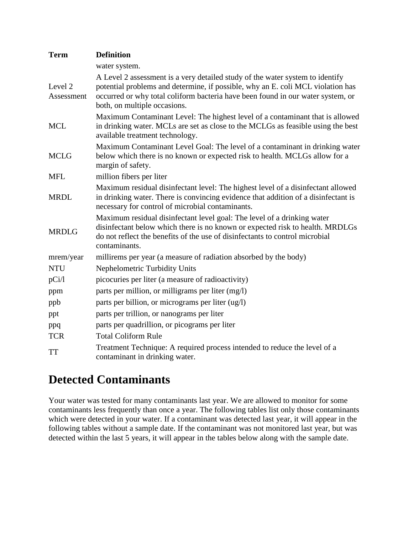| <b>Term</b>           | <b>Definition</b>                                                                                                                                                                                                                                                                   |
|-----------------------|-------------------------------------------------------------------------------------------------------------------------------------------------------------------------------------------------------------------------------------------------------------------------------------|
|                       | water system.                                                                                                                                                                                                                                                                       |
| Level 2<br>Assessment | A Level 2 assessment is a very detailed study of the water system to identify<br>potential problems and determine, if possible, why an E. coli MCL violation has<br>occurred or why total coliform bacteria have been found in our water system, or<br>both, on multiple occasions. |
| <b>MCL</b>            | Maximum Contaminant Level: The highest level of a contaminant that is allowed<br>in drinking water. MCLs are set as close to the MCLGs as feasible using the best<br>available treatment technology.                                                                                |
| <b>MCLG</b>           | Maximum Contaminant Level Goal: The level of a contaminant in drinking water<br>below which there is no known or expected risk to health. MCLGs allow for a<br>margin of safety.                                                                                                    |
| <b>MFL</b>            | million fibers per liter                                                                                                                                                                                                                                                            |
| <b>MRDL</b>           | Maximum residual disinfectant level: The highest level of a disinfectant allowed<br>in drinking water. There is convincing evidence that addition of a disinfectant is<br>necessary for control of microbial contaminants.                                                          |
| <b>MRDLG</b>          | Maximum residual disinfectant level goal: The level of a drinking water<br>disinfectant below which there is no known or expected risk to health. MRDLGs<br>do not reflect the benefits of the use of disinfectants to control microbial<br>contaminants.                           |
| mrem/year             | millirems per year (a measure of radiation absorbed by the body)                                                                                                                                                                                                                    |
| <b>NTU</b>            | Nephelometric Turbidity Units                                                                                                                                                                                                                                                       |
| pCi/1                 | picocuries per liter (a measure of radioactivity)                                                                                                                                                                                                                                   |
| ppm                   | parts per million, or milligrams per liter (mg/l)                                                                                                                                                                                                                                   |
| ppb                   | parts per billion, or micrograms per liter (ug/l)                                                                                                                                                                                                                                   |
| ppt                   | parts per trillion, or nanograms per liter                                                                                                                                                                                                                                          |
| ppq                   | parts per quadrillion, or picograms per liter                                                                                                                                                                                                                                       |
| <b>TCR</b>            | <b>Total Coliform Rule</b>                                                                                                                                                                                                                                                          |
| <b>TT</b>             | Treatment Technique: A required process intended to reduce the level of a<br>contaminant in drinking water.                                                                                                                                                                         |

### **Detected Contaminants**

Your water was tested for many contaminants last year. We are allowed to monitor for some contaminants less frequently than once a year. The following tables list only those contaminants which were detected in your water. If a contaminant was detected last year, it will appear in the following tables without a sample date. If the contaminant was not monitored last year, but was detected within the last 5 years, it will appear in the tables below along with the sample date.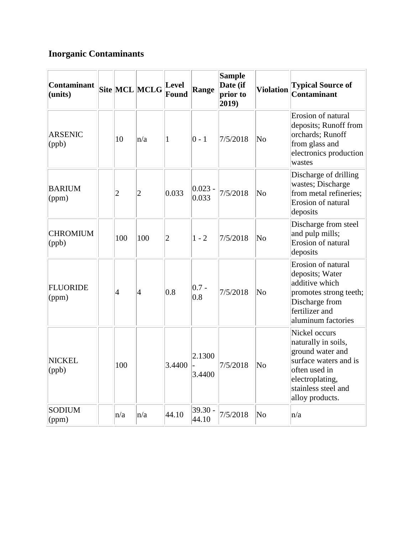### **Inorganic Contaminants**

| <b>Contaminant</b><br>(units) |                | Site MCL MCLG  | <b>Level</b><br>Found | Range               | <b>Sample</b><br>Date (if<br>prior to<br>$ 2019\rangle$ | <b>Violation</b>       | <b>Typical Source of</b><br><b>Contaminant</b>                                                                                                                  |
|-------------------------------|----------------|----------------|-----------------------|---------------------|---------------------------------------------------------|------------------------|-----------------------------------------------------------------------------------------------------------------------------------------------------------------|
| <b>ARSENIC</b><br>(ppb)       | 10             | n/a            | 1                     | $ 0 - 1 $           | 7/5/2018                                                | $\overline{\text{No}}$ | Erosion of natural<br>deposits; Runoff from<br>orchards; Runoff<br>from glass and<br>electronics production<br>wastes                                           |
| <b>BARIUM</b><br>(ppm)        | $\overline{c}$ | $\overline{2}$ | 0.033                 | $ 0.023 -$<br>0.033 | 7/5/2018                                                | $\overline{\text{No}}$ | Discharge of drilling<br>wastes; Discharge<br>from metal refineries;<br>Erosion of natural<br>deposits                                                          |
| <b>CHROMIUM</b><br>(ppb)      | 100            | 100            | $\overline{2}$        | $1 - 2$             | 7/5/2018                                                | $\overline{\text{No}}$ | Discharge from steel<br>and pulp mills;<br>Erosion of natural<br>deposits                                                                                       |
| <b>FLUORIDE</b><br>(ppm)      | 4              | $\vert 4$      | 0.8                   | $ 0.7 -$<br> 0.8    | 7/5/2018                                                | No                     | Erosion of natural<br>deposits; Water<br>additive which<br>promotes strong teeth;<br>Discharge from<br>fertilizer and<br>aluminum factories                     |
| <b>NICKEL</b><br>(ppb)        | 100            |                | 3.4400                | 2.1300<br>3.4400    | 7/5/2018                                                | $\overline{\text{No}}$ | Nickel occurs<br>naturally in soils,<br>ground water and<br>surface waters and is<br>often used in<br>electroplating,<br>stainless steel and<br>alloy products. |
| <b>SODIUM</b><br>(ppm)        | n/a            | n/a            | 44.10                 | $39.30 -$<br> 44.10 | 7/5/2018                                                | $\overline{\text{No}}$ | n/a                                                                                                                                                             |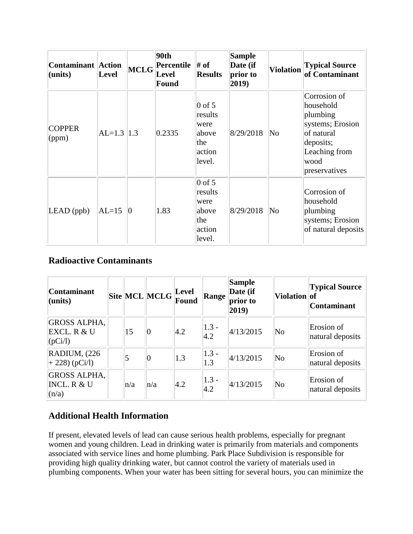| <b>Contaminant Action</b><br>(units) | <b>Level</b>   | MCLG           | 90th<br>Percentile<br>Level<br>Found | # of<br><b>Results</b>                                          | <b>Sample</b><br>Date (if<br>prior to<br>2019) | <b>Violation</b>       | <b>Typical Source</b><br>of Contaminant                                                                                        |
|--------------------------------------|----------------|----------------|--------------------------------------|-----------------------------------------------------------------|------------------------------------------------|------------------------|--------------------------------------------------------------------------------------------------------------------------------|
| <b>COPPER</b><br>(ppm)               | $AL=1.3$   1.3 |                | 0.2335                               | $0$ of 5<br>results<br>were<br>above<br>the<br>action<br>level. | 8/29/2018                                      | $\overline{\rm No}$    | Corrosion of<br>household<br>plumbing<br>systems; Erosion<br>of natural<br>deposits;<br>Leaching from<br>wood<br>preservatives |
| $LEAD$ (ppb)                         | $AL=15$        | $\overline{0}$ | 1.83                                 | $0$ of 5<br>results<br>were<br>above<br>the<br>action<br>level. | 8/29/2018                                      | $\overline{\text{No}}$ | Corrosion of<br>household<br>plumbing<br>systems; Erosion<br>of natural deposits                                               |

### **Radioactive Contaminants**

| <b>Contaminant</b><br>$l$ (units)             |     | $\left \text{Site}\right \text{MCL}\left \text{MCLG}\right $ | Level<br>Found | Range <sup> </sup>       | <b>Sample</b><br>Date (if<br>prior to<br>(2019) | Violation of | <b>Typical Source</b><br><b>Contaminant</b> |
|-----------------------------------------------|-----|--------------------------------------------------------------|----------------|--------------------------|-------------------------------------------------|--------------|---------------------------------------------|
| <b>GROSS ALPHA,</b><br>EXCL. R & U<br>(pCi/l) | 15  | $ 0\rangle$                                                  | $ 4.2\rangle$  | $ 1.3 -$<br> 4.2         | 4/13/2015                                       | No           | Erosion of<br>natural deposits              |
| RADIUM, (226)<br>$+ 228$ ) (pCi/l)            |     | 10                                                           | 1.3            | $1.3 -$<br>1.3           | 4/13/2015                                       | No           | Erosion of<br>natural deposits              |
| <b>GROSS ALPHA,</b><br>INCL. R & U<br>(n/a)   | n/a | n/a                                                          | $ 4.2\rangle$  | $1.3 -$<br>$ 4.2\rangle$ | 4/13/2015                                       | No           | Erosion of<br>natural deposits              |

### **Additional Health Information**

If present, elevated levels of lead can cause serious health problems, especially for pregnant women and young children. Lead in drinking water is primarily from materials and components associated with service lines and home plumbing. Park Place Subdivision is responsible for providing high quality drinking water, but cannot control the variety of materials used in plumbing components. When your water has been sitting for several hours, you can minimize the